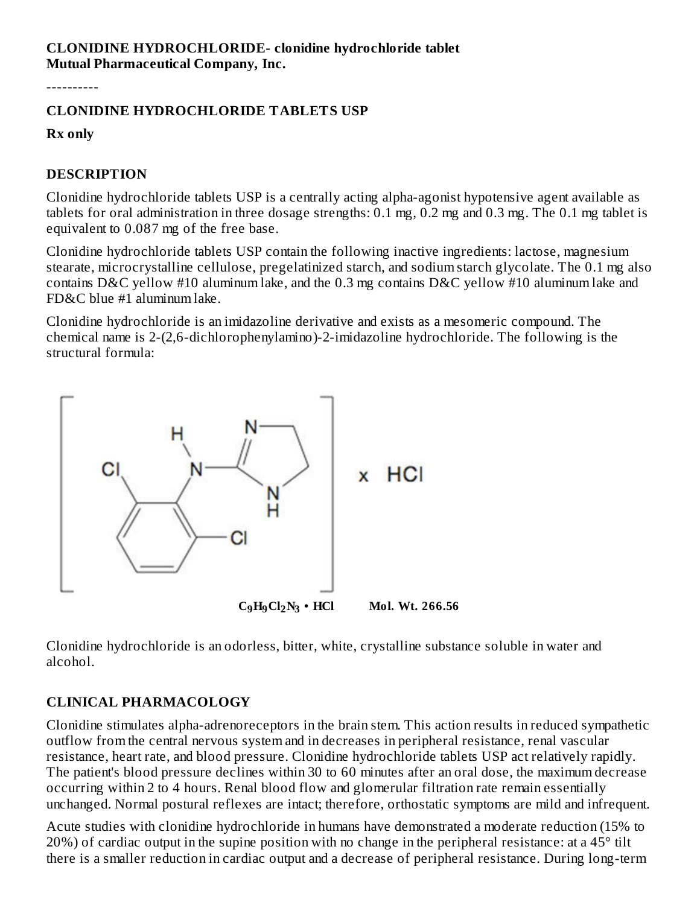## **CLONIDINE HYDROCHLORIDE- clonidine hydrochloride tablet Mutual Pharmaceutical Company, Inc.**

----------

# **CLONIDINE HYDROCHLORIDE TABLETS USP**

**Rx only**

## **DESCRIPTION**

Clonidine hydrochloride tablets USP is a centrally acting alpha-agonist hypotensive agent available as tablets for oral administration in three dosage strengths: 0.1 mg, 0.2 mg and 0.3 mg. The 0.1 mg tablet is equivalent to 0.087 mg of the free base.

Clonidine hydrochloride tablets USP contain the following inactive ingredients: lactose, magnesium stearate, microcrystalline cellulose, pregelatinized starch, and sodium starch glycolate. The 0.1 mg also contains D&C yellow #10 aluminum lake, and the 0.3 mg contains D&C yellow #10 aluminum lake and FD&C blue #1 aluminum lake.

Clonidine hydrochloride is an imidazoline derivative and exists as a mesomeric compound. The chemical name is 2-(2,6-dichlorophenylamino)-2-imidazoline hydrochloride. The following is the structural formula:



Clonidine hydrochloride is an odorless, bitter, white, crystalline substance soluble in water and alcohol.

# **CLINICAL PHARMACOLOGY**

Clonidine stimulates alpha-adrenoreceptors in the brain stem. This action results in reduced sympathetic outflow from the central nervous system and in decreases in peripheral resistance, renal vascular resistance, heart rate, and blood pressure. Clonidine hydrochloride tablets USP act relatively rapidly. The patient's blood pressure declines within 30 to 60 minutes after an oral dose, the maximum decrease occurring within 2 to 4 hours. Renal blood flow and glomerular filtration rate remain essentially unchanged. Normal postural reflexes are intact; therefore, orthostatic symptoms are mild and infrequent.

Acute studies with clonidine hydrochloride in humans have demonstrated a moderate reduction (15% to  $20\%$ ) of cardiac output in the supine position with no change in the peripheral resistance: at a 45 $^{\circ}$  tilt there is a smaller reduction in cardiac output and a decrease of peripheral resistance. During long-term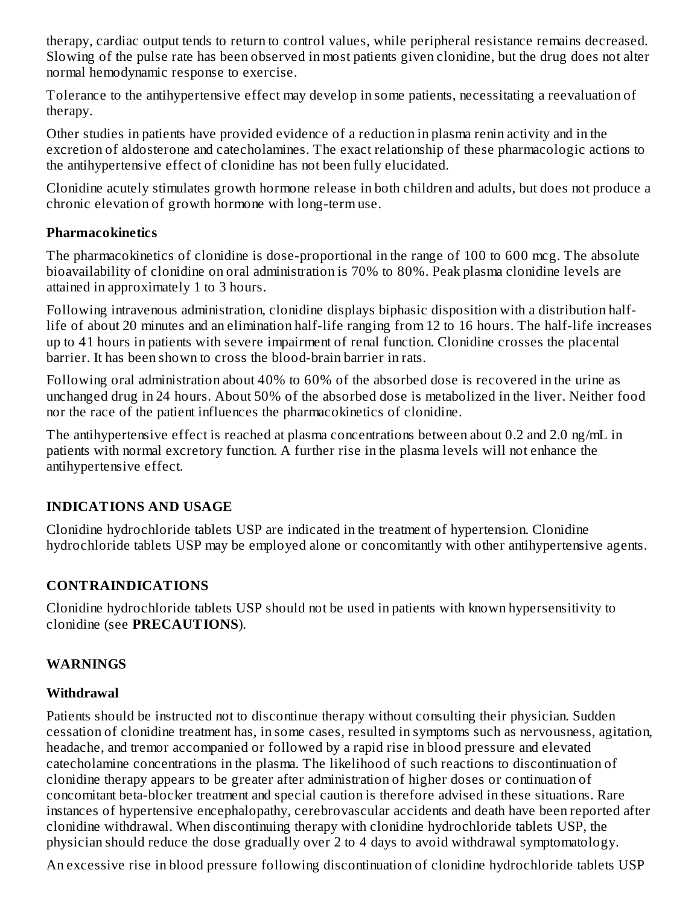therapy, cardiac output tends to return to control values, while peripheral resistance remains decreased. Slowing of the pulse rate has been observed in most patients given clonidine, but the drug does not alter normal hemodynamic response to exercise.

Tolerance to the antihypertensive effect may develop in some patients, necessitating a reevaluation of therapy.

Other studies in patients have provided evidence of a reduction in plasma renin activity and in the excretion of aldosterone and catecholamines. The exact relationship of these pharmacologic actions to the antihypertensive effect of clonidine has not been fully elucidated.

Clonidine acutely stimulates growth hormone release in both children and adults, but does not produce a chronic elevation of growth hormone with long-term use.

## **Pharmacokinetics**

The pharmacokinetics of clonidine is dose-proportional in the range of 100 to 600 mcg. The absolute bioavailability of clonidine on oral administration is 70% to 80%. Peak plasma clonidine levels are attained in approximately 1 to 3 hours.

Following intravenous administration, clonidine displays biphasic disposition with a distribution halflife of about 20 minutes and an elimination half-life ranging from 12 to 16 hours. The half-life increases up to 41 hours in patients with severe impairment of renal function. Clonidine crosses the placental barrier. It has been shown to cross the blood-brain barrier in rats.

Following oral administration about 40% to 60% of the absorbed dose is recovered in the urine as unchanged drug in 24 hours. About 50% of the absorbed dose is metabolized in the liver. Neither food nor the race of the patient influences the pharmacokinetics of clonidine.

The antihypertensive effect is reached at plasma concentrations between about 0.2 and 2.0 ng/mL in patients with normal excretory function. A further rise in the plasma levels will not enhance the antihypertensive effect.

## **INDICATIONS AND USAGE**

Clonidine hydrochloride tablets USP are indicated in the treatment of hypertension. Clonidine hydrochloride tablets USP may be employed alone or concomitantly with other antihypertensive agents.

## **CONTRAINDICATIONS**

Clonidine hydrochloride tablets USP should not be used in patients with known hypersensitivity to clonidine (see **PRECAUTIONS**).

## **WARNINGS**

## **Withdrawal**

Patients should be instructed not to discontinue therapy without consulting their physician. Sudden cessation of clonidine treatment has, in some cases, resulted in symptoms such as nervousness, agitation, headache, and tremor accompanied or followed by a rapid rise in blood pressure and elevated catecholamine concentrations in the plasma. The likelihood of such reactions to discontinuation of clonidine therapy appears to be greater after administration of higher doses or continuation of concomitant beta-blocker treatment and special caution is therefore advised in these situations. Rare instances of hypertensive encephalopathy, cerebrovascular accidents and death have been reported after clonidine withdrawal. When discontinuing therapy with clonidine hydrochloride tablets USP, the physician should reduce the dose gradually over 2 to 4 days to avoid withdrawal symptomatology.

An excessive rise in blood pressure following discontinuation of clonidine hydrochloride tablets USP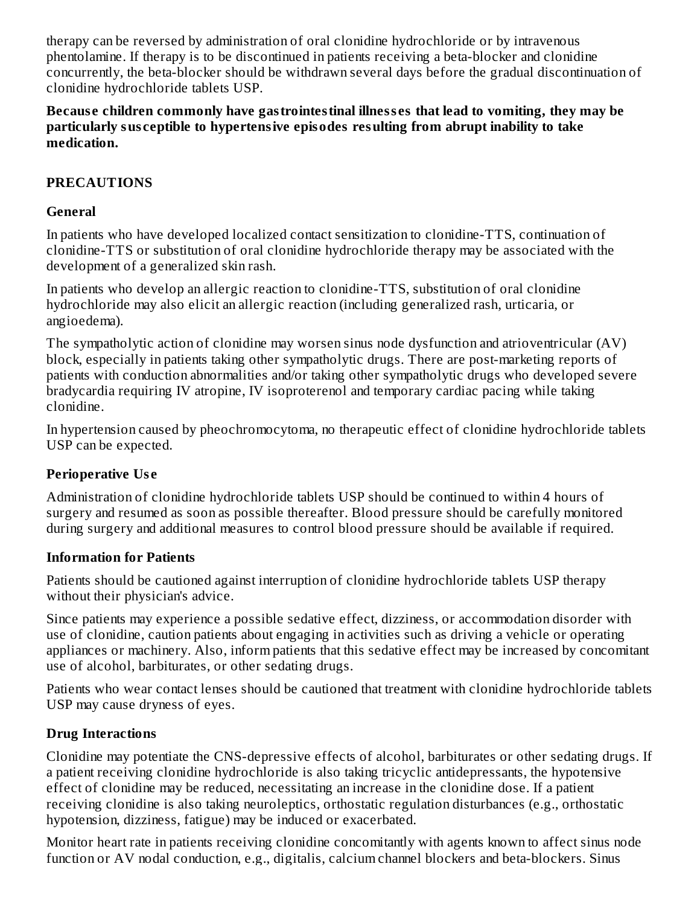therapy can be reversed by administration of oral clonidine hydrochloride or by intravenous phentolamine. If therapy is to be discontinued in patients receiving a beta-blocker and clonidine concurrently, the beta-blocker should be withdrawn several days before the gradual discontinuation of clonidine hydrochloride tablets USP.

**Becaus e children commonly have gastrointestinal illness es that lead to vomiting, they may be particularly sus ceptible to hypertensive episodes resulting from abrupt inability to take medication.**

# **PRECAUTIONS**

## **General**

In patients who have developed localized contact sensitization to clonidine-TTS, continuation of clonidine-TTS or substitution of oral clonidine hydrochloride therapy may be associated with the development of a generalized skin rash.

In patients who develop an allergic reaction to clonidine-TTS, substitution of oral clonidine hydrochloride may also elicit an allergic reaction (including generalized rash, urticaria, or angioedema).

The sympatholytic action of clonidine may worsen sinus node dysfunction and atrioventricular (AV) block, especially in patients taking other sympatholytic drugs. There are post-marketing reports of patients with conduction abnormalities and/or taking other sympatholytic drugs who developed severe bradycardia requiring IV atropine, IV isoproterenol and temporary cardiac pacing while taking clonidine.

In hypertension caused by pheochromocytoma, no therapeutic effect of clonidine hydrochloride tablets USP can be expected.

# **Perioperative Us e**

Administration of clonidine hydrochloride tablets USP should be continued to within 4 hours of surgery and resumed as soon as possible thereafter. Blood pressure should be carefully monitored during surgery and additional measures to control blood pressure should be available if required.

## **Information for Patients**

Patients should be cautioned against interruption of clonidine hydrochloride tablets USP therapy without their physician's advice.

Since patients may experience a possible sedative effect, dizziness, or accommodation disorder with use of clonidine, caution patients about engaging in activities such as driving a vehicle or operating appliances or machinery. Also, inform patients that this sedative effect may be increased by concomitant use of alcohol, barbiturates, or other sedating drugs.

Patients who wear contact lenses should be cautioned that treatment with clonidine hydrochloride tablets USP may cause dryness of eyes.

# **Drug Interactions**

Clonidine may potentiate the CNS-depressive effects of alcohol, barbiturates or other sedating drugs. If a patient receiving clonidine hydrochloride is also taking tricyclic antidepressants, the hypotensive effect of clonidine may be reduced, necessitating an increase in the clonidine dose. If a patient receiving clonidine is also taking neuroleptics, orthostatic regulation disturbances (e.g., orthostatic hypotension, dizziness, fatigue) may be induced or exacerbated.

Monitor heart rate in patients receiving clonidine concomitantly with agents known to affect sinus node function or AV nodal conduction, e.g., digitalis, calcium channel blockers and beta-blockers. Sinus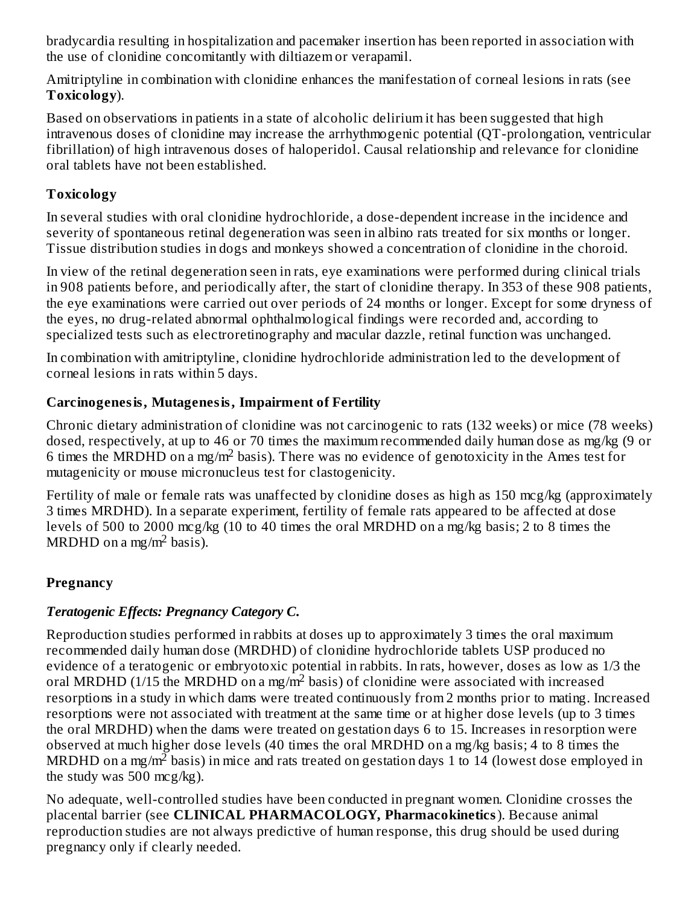bradycardia resulting in hospitalization and pacemaker insertion has been reported in association with the use of clonidine concomitantly with diltiazem or verapamil.

Amitriptyline in combination with clonidine enhances the manifestation of corneal lesions in rats (see **Toxicology**).

Based on observations in patients in a state of alcoholic delirium it has been suggested that high intravenous doses of clonidine may increase the arrhythmogenic potential (QT-prolongation, ventricular fibrillation) of high intravenous doses of haloperidol. Causal relationship and relevance for clonidine oral tablets have not been established.

# **Toxicology**

In several studies with oral clonidine hydrochloride, a dose-dependent increase in the incidence and severity of spontaneous retinal degeneration was seen in albino rats treated for six months or longer. Tissue distribution studies in dogs and monkeys showed a concentration of clonidine in the choroid.

In view of the retinal degeneration seen in rats, eye examinations were performed during clinical trials in 908 patients before, and periodically after, the start of clonidine therapy. In 353 of these 908 patients, the eye examinations were carried out over periods of 24 months or longer. Except for some dryness of the eyes, no drug-related abnormal ophthalmological findings were recorded and, according to specialized tests such as electroretinography and macular dazzle, retinal function was unchanged.

In combination with amitriptyline, clonidine hydrochloride administration led to the development of corneal lesions in rats within 5 days.

# **Carcinogenesis, Mutagenesis, Impairment of Fertility**

Chronic dietary administration of clonidine was not carcinogenic to rats (132 weeks) or mice (78 weeks) dosed, respectively, at up to 46 or 70 times the maximum recommended daily human dose as mg/kg (9 or 6 times the MRDHD on a mg/m<sup>2</sup> basis). There was no evidence of genotoxicity in the Ames test for mutagenicity or mouse micronucleus test for clastogenicity.

Fertility of male or female rats was unaffected by clonidine doses as high as 150 mcg/kg (approximately 3 times MRDHD). In a separate experiment, fertility of female rats appeared to be affected at dose levels of 500 to 2000 mcg/kg (10 to 40 times the oral MRDHD on a mg/kg basis; 2 to 8 times the MRDHD on a mg/m<sup>2</sup> basis).

# **Pregnancy**

# *Teratogenic Effects: Pregnancy Category C.*

Reproduction studies performed in rabbits at doses up to approximately 3 times the oral maximum recommended daily human dose (MRDHD) of clonidine hydrochloride tablets USP produced no evidence of a teratogenic or embryotoxic potential in rabbits. In rats, however, doses as low as 1/3 the oral MRDHD (1/15 the MRDHD on a mg/m<sup>2</sup> basis) of clonidine were associated with increased resorptions in a study in which dams were treated continuously from 2 months prior to mating. Increased resorptions were not associated with treatment at the same time or at higher dose levels (up to 3 times the oral MRDHD) when the dams were treated on gestation days 6 to 15. Increases in resorption were observed at much higher dose levels (40 times the oral MRDHD on a mg/kg basis; 4 to 8 times the MRDHD on a mg/m $^2$  basis) in mice and rats treated on gestation days 1 to 14 (lowest dose employed in the study was 500 mcg/kg).

No adequate, well-controlled studies have been conducted in pregnant women. Clonidine crosses the placental barrier (see **CLINICAL PHARMACOLOGY, Pharmacokinetics**). Because animal reproduction studies are not always predictive of human response, this drug should be used during pregnancy only if clearly needed.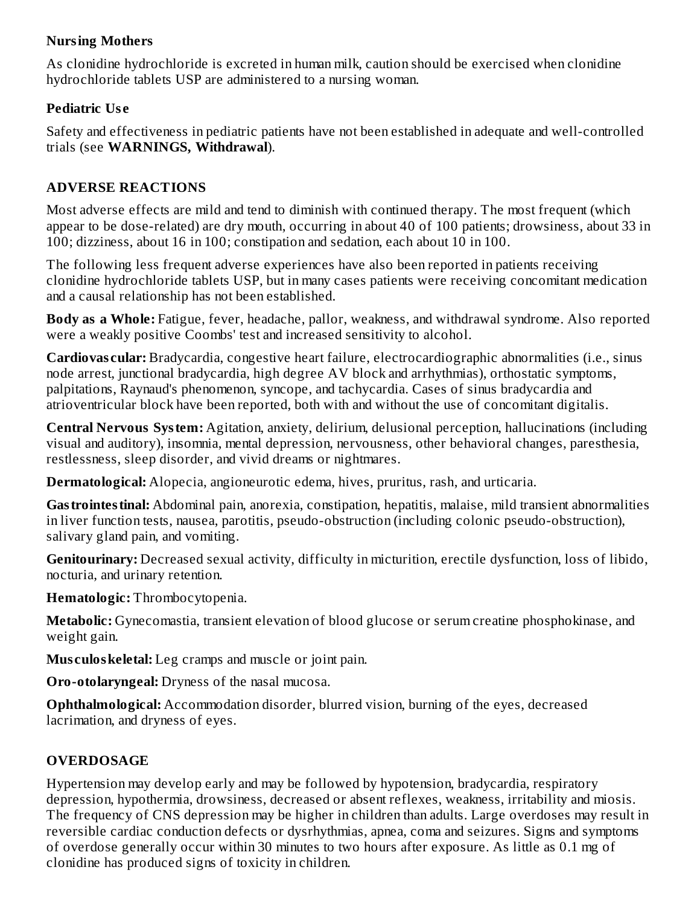# **Nursing Mothers**

As clonidine hydrochloride is excreted in human milk, caution should be exercised when clonidine hydrochloride tablets USP are administered to a nursing woman.

# **Pediatric Us e**

Safety and effectiveness in pediatric patients have not been established in adequate and well-controlled trials (see **WARNINGS, Withdrawal**).

# **ADVERSE REACTIONS**

Most adverse effects are mild and tend to diminish with continued therapy. The most frequent (which appear to be dose-related) are dry mouth, occurring in about 40 of 100 patients; drowsiness, about 33 in 100; dizziness, about 16 in 100; constipation and sedation, each about 10 in 100.

The following less frequent adverse experiences have also been reported in patients receiving clonidine hydrochloride tablets USP, but in many cases patients were receiving concomitant medication and a causal relationship has not been established.

**Body as a Whole:** Fatigue, fever, headache, pallor, weakness, and withdrawal syndrome. Also reported were a weakly positive Coombs' test and increased sensitivity to alcohol.

**Cardiovas cular:** Bradycardia, congestive heart failure, electrocardiographic abnormalities (i.e., sinus node arrest, junctional bradycardia, high degree AV block and arrhythmias), orthostatic symptoms, palpitations, Raynaud's phenomenon, syncope, and tachycardia. Cases of sinus bradycardia and atrioventricular block have been reported, both with and without the use of concomitant digitalis.

**Central Nervous System:** Agitation, anxiety, delirium, delusional perception, hallucinations (including visual and auditory), insomnia, mental depression, nervousness, other behavioral changes, paresthesia, restlessness, sleep disorder, and vivid dreams or nightmares.

**Dermatological:** Alopecia, angioneurotic edema, hives, pruritus, rash, and urticaria.

**Gastrointestinal:** Abdominal pain, anorexia, constipation, hepatitis, malaise, mild transient abnormalities in liver function tests, nausea, parotitis, pseudo-obstruction (including colonic pseudo-obstruction), salivary gland pain, and vomiting.

**Genitourinary:** Decreased sexual activity, difficulty in micturition, erectile dysfunction, loss of libido, nocturia, and urinary retention.

**Hematologic:** Thrombocytopenia.

**Metabolic:** Gynecomastia, transient elevation of blood glucose or serum creatine phosphokinase, and weight gain.

**Mus culoskeletal:** Leg cramps and muscle or joint pain.

**Oro-otolaryngeal:** Dryness of the nasal mucosa.

**Ophthalmological:** Accommodation disorder, blurred vision, burning of the eyes, decreased lacrimation, and dryness of eyes.

# **OVERDOSAGE**

Hypertension may develop early and may be followed by hypotension, bradycardia, respiratory depression, hypothermia, drowsiness, decreased or absent reflexes, weakness, irritability and miosis. The frequency of CNS depression may be higher in children than adults. Large overdoses may result in reversible cardiac conduction defects or dysrhythmias, apnea, coma and seizures. Signs and symptoms of overdose generally occur within 30 minutes to two hours after exposure. As little as 0.1 mg of clonidine has produced signs of toxicity in children.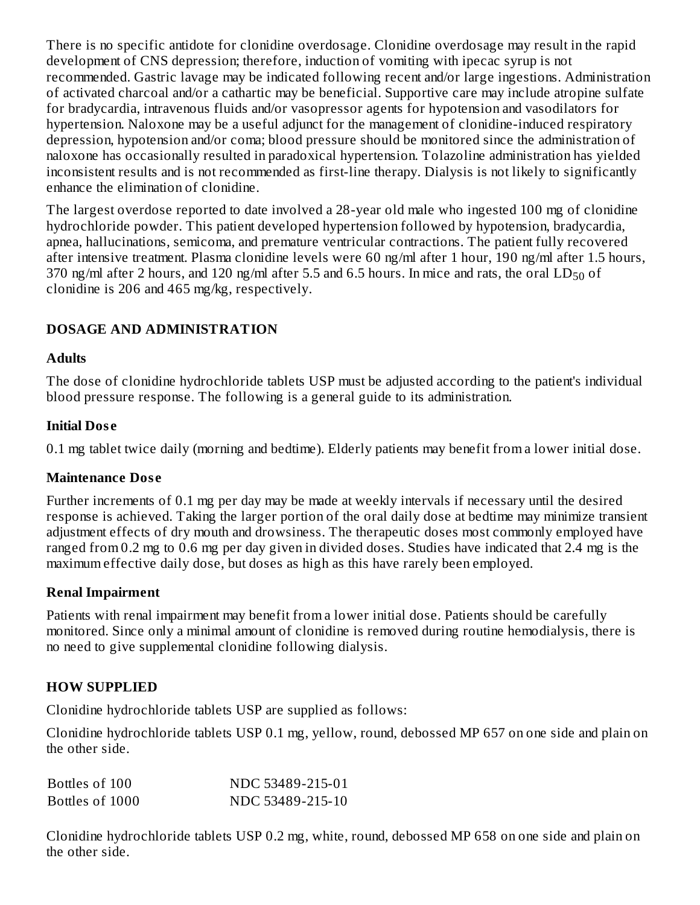There is no specific antidote for clonidine overdosage. Clonidine overdosage may result in the rapid development of CNS depression; therefore, induction of vomiting with ipecac syrup is not recommended. Gastric lavage may be indicated following recent and/or large ingestions. Administration of activated charcoal and/or a cathartic may be beneficial. Supportive care may include atropine sulfate for bradycardia, intravenous fluids and/or vasopressor agents for hypotension and vasodilators for hypertension. Naloxone may be a useful adjunct for the management of clonidine-induced respiratory depression, hypotension and/or coma; blood pressure should be monitored since the administration of naloxone has occasionally resulted in paradoxical hypertension. Tolazoline administration has yielded inconsistent results and is not recommended as first-line therapy. Dialysis is not likely to significantly enhance the elimination of clonidine.

The largest overdose reported to date involved a 28-year old male who ingested 100 mg of clonidine hydrochloride powder. This patient developed hypertension followed by hypotension, bradycardia, apnea, hallucinations, semicoma, and premature ventricular contractions. The patient fully recovered after intensive treatment. Plasma clonidine levels were 60 ng/ml after 1 hour, 190 ng/ml after 1.5 hours, 370 ng/ml after 2 hours, and 120 ng/ml after 5.5 and 6.5 hours. In mice and rats, the oral  $LD_{50}$  of clonidine is 206 and 465 mg/kg, respectively.

# **DOSAGE AND ADMINISTRATION**

#### **Adults**

The dose of clonidine hydrochloride tablets USP must be adjusted according to the patient's individual blood pressure response. The following is a general guide to its administration.

## **Initial Dos e**

0.1 mg tablet twice daily (morning and bedtime). Elderly patients may benefit from a lower initial dose.

## **Maintenance Dos e**

Further increments of 0.1 mg per day may be made at weekly intervals if necessary until the desired response is achieved. Taking the larger portion of the oral daily dose at bedtime may minimize transient adjustment effects of dry mouth and drowsiness. The therapeutic doses most commonly employed have ranged from 0.2 mg to 0.6 mg per day given in divided doses. Studies have indicated that 2.4 mg is the maximum effective daily dose, but doses as high as this have rarely been employed.

## **Renal Impairment**

Patients with renal impairment may benefit from a lower initial dose. Patients should be carefully monitored. Since only a minimal amount of clonidine is removed during routine hemodialysis, there is no need to give supplemental clonidine following dialysis.

## **HOW SUPPLIED**

Clonidine hydrochloride tablets USP are supplied as follows:

Clonidine hydrochloride tablets USP 0.1 mg, yellow, round, debossed MP 657 on one side and plain on the other side.

| Bottles of 100  | NDC 53489-215-01 |
|-----------------|------------------|
| Bottles of 1000 | NDC 53489-215-10 |

Clonidine hydrochloride tablets USP 0.2 mg, white, round, debossed MP 658 on one side and plain on the other side.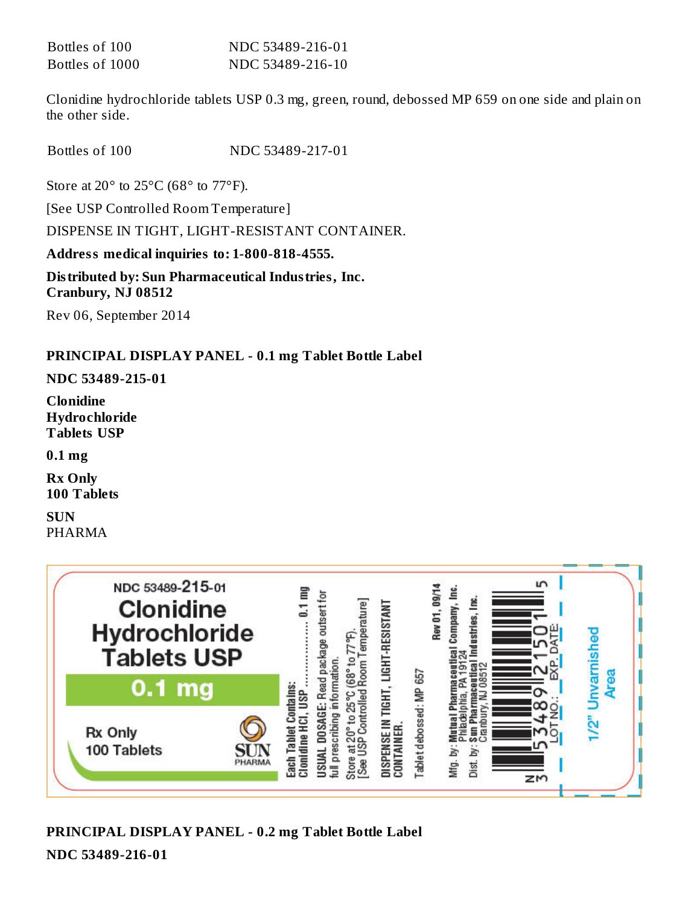| Bottles of 100  | NDC 53489-216-01 |
|-----------------|------------------|
| Bottles of 1000 | NDC 53489-216-10 |

Clonidine hydrochloride tablets USP 0.3 mg, green, round, debossed MP 659 on one side and plain on the other side.

Bottles of 100 NDC 53489-217-01

Store at 20 $\degree$  to 25 $\degree$ C (68 $\degree$  to 77 $\degree$ F).

[See USP Controlled Room Temperature]

DISPENSE IN TIGHT, LIGHT-RESISTANT CONTAINER.

**Address medical inquiries to: 1-800-818-4555.**

**Distributed by: Sun Pharmaceutical Industries, Inc. Cranbury, NJ 08512**

Rev 06, September 2014

#### **PRINCIPAL DISPLAY PANEL - 0.1 mg Tablet Bottle Label**

#### **NDC 53489-215-01**

**Clonidine Hydrochloride Tablets USP**

**0.1 mg**

**Rx Only 100 Tablets**

**SUN** PHARMA



## **PRINCIPAL DISPLAY PANEL - 0.2 mg Tablet Bottle Label**

**NDC 53489-216-01**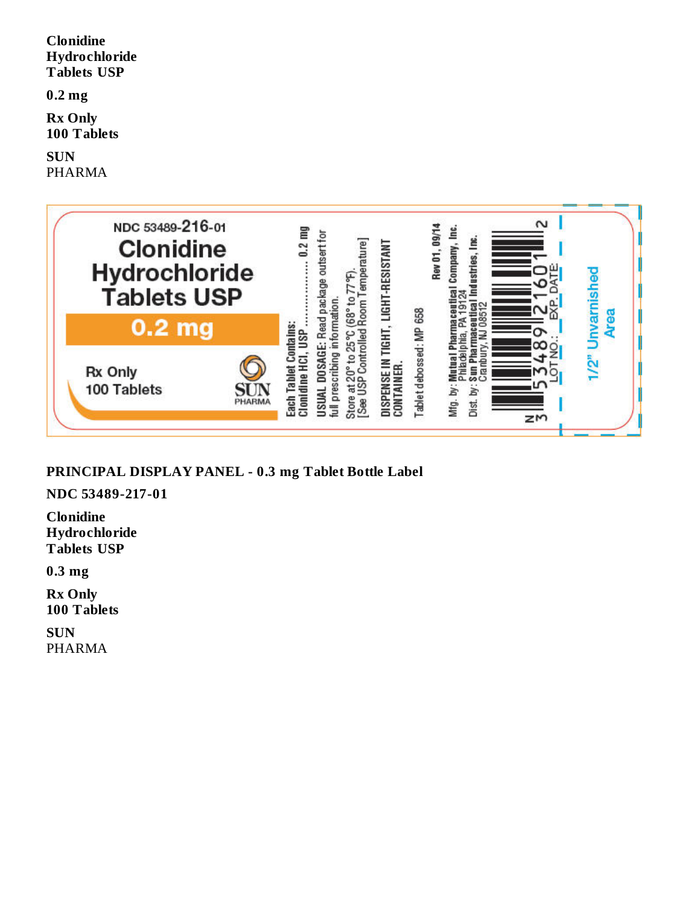**Clonidine Hydrochloride Tablets USP**

**0.2 mg**

**Rx Only 100 Tablets**

**SUN** PHARMA



**PRINCIPAL DISPLAY PANEL - 0.3 mg Tablet Bottle Label**

**NDC 53489-217-01**

**Clonidine Hydrochloride Tablets USP**

**0.3 mg**

**Rx Only 100 Tablets**

**SUN** PHARMA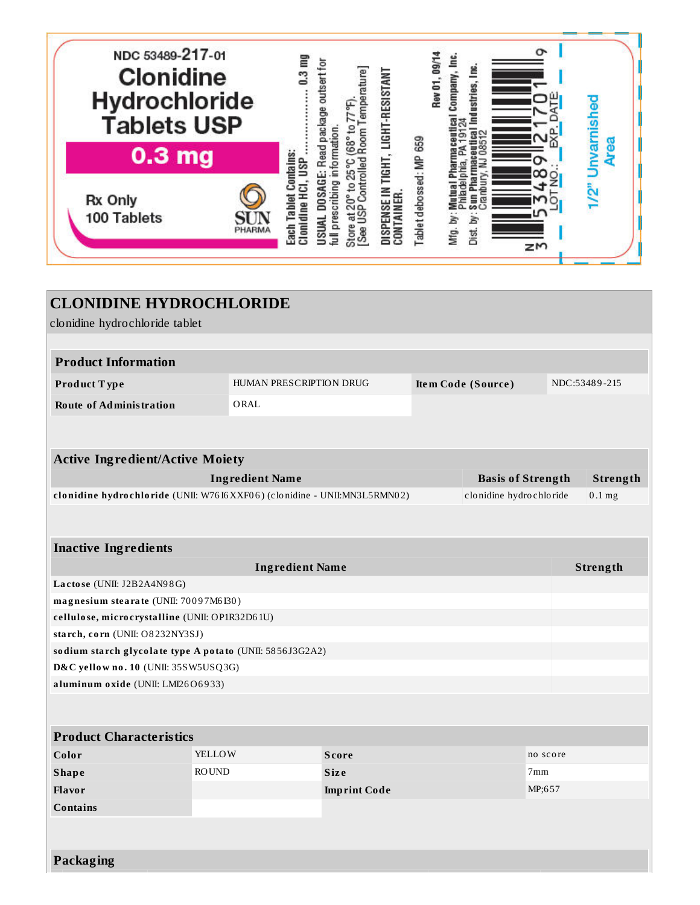

| <b>CLONIDINE HYDROCHLORIDE</b>                                           |                         |                     |  |                          |          |               |
|--------------------------------------------------------------------------|-------------------------|---------------------|--|--------------------------|----------|---------------|
| clonidine hydrochloride tablet                                           |                         |                     |  |                          |          |               |
| <b>Product Information</b>                                               |                         |                     |  |                          |          |               |
|                                                                          |                         |                     |  |                          |          |               |
| Product Type                                                             | HUMAN PRESCRIPTION DRUG |                     |  | Item Code (Source)       |          | NDC:53489-215 |
| <b>Route of Administration</b>                                           | ORAL                    |                     |  |                          |          |               |
|                                                                          |                         |                     |  |                          |          |               |
|                                                                          |                         |                     |  |                          |          |               |
| <b>Active Ingredient/Active Moiety</b>                                   |                         |                     |  |                          |          |               |
|                                                                          | <b>Ingredient Name</b>  |                     |  | <b>Basis of Strength</b> |          | Strength      |
| clonidine hydrochloride (UNII: W7616XXF06) (clonidine - UNII:MN3L5RMN02) |                         |                     |  | clonidine hydrochloride  |          | $0.1$ mg      |
|                                                                          |                         |                     |  |                          |          |               |
| <b>Inactive Ingredients</b>                                              |                         |                     |  |                          |          |               |
|                                                                          | <b>Ingredient Name</b>  |                     |  |                          |          | Strength      |
| Lactose (UNII: J2B2A4N98G)                                               |                         |                     |  |                          |          |               |
| magnesium stearate (UNII: 70097M6I30)                                    |                         |                     |  |                          |          |               |
| cellulose, microcrystalline (UNII: OP1R32D61U)                           |                         |                     |  |                          |          |               |
| starch, corn (UNII: O8232NY3SJ)                                          |                         |                     |  |                          |          |               |
| sodium starch glycolate type A potato (UNII: 5856J3G2A2)                 |                         |                     |  |                          |          |               |
| D&C yellow no. 10 (UNII: 35SW5USQ3G)                                     |                         |                     |  |                          |          |               |
| aluminum oxide (UNII: LMI26O6933)                                        |                         |                     |  |                          |          |               |
|                                                                          |                         |                     |  |                          |          |               |
| <b>Product Characteristics</b>                                           |                         |                     |  |                          |          |               |
| Color                                                                    | YELLOW                  | <b>Score</b>        |  |                          | no score |               |
| <b>Shape</b>                                                             | <b>ROUND</b>            | <b>Size</b>         |  |                          | 7mm      |               |
| <b>Flavor</b>                                                            |                         | <b>Imprint Code</b> |  |                          | MP;657   |               |
| <b>Contains</b>                                                          |                         |                     |  |                          |          |               |
|                                                                          |                         |                     |  |                          |          |               |
|                                                                          |                         |                     |  |                          |          |               |
| Packaging                                                                |                         |                     |  |                          |          |               |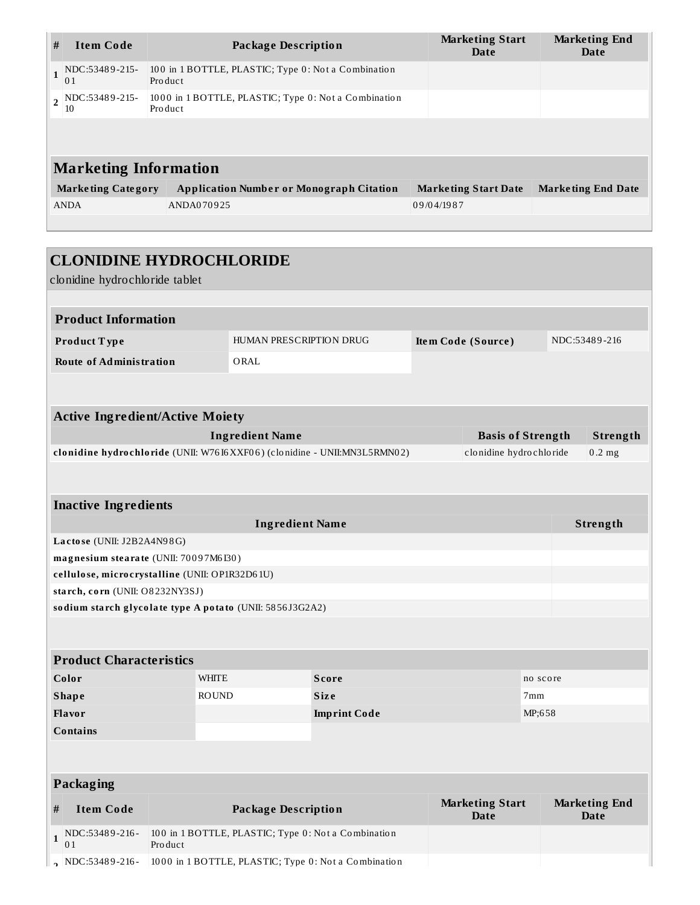| #                            | <b>Item Code</b>                    | Package Description                                             | <b>Marketing Start</b><br>Date | <b>Marketing End</b><br>Date |  |  |  |
|------------------------------|-------------------------------------|-----------------------------------------------------------------|--------------------------------|------------------------------|--|--|--|
| $\mathbf{1}$                 | NDC:53489-215-<br>01                | 100 in 1 BOTTLE, PLASTIC; Type 0: Not a Combination<br>Product  |                                |                              |  |  |  |
|                              | $\frac{1}{2}$ NDC:53489-215-<br>-10 | 1000 in 1 BOTTLE, PLASTIC; Type 0: Not a Combination<br>Product |                                |                              |  |  |  |
|                              |                                     |                                                                 |                                |                              |  |  |  |
| <b>Marketing Information</b> |                                     |                                                                 |                                |                              |  |  |  |
|                              | <b>Marketing Category</b>           | <b>Application Number or Monograph Citation</b>                 | <b>Marketing Start Date</b>    | <b>Marketing End Date</b>    |  |  |  |
|                              | <b>ANDA</b>                         | ANDA070925                                                      | 09/04/1987                     |                              |  |  |  |
|                              |                                     |                                                                 |                                |                              |  |  |  |

| <b>CLONIDINE HYDROCHLORIDE</b>                           |              |                            |                                                                          |                                       |                          |                                     |
|----------------------------------------------------------|--------------|----------------------------|--------------------------------------------------------------------------|---------------------------------------|--------------------------|-------------------------------------|
| clonidine hydrochloride tablet                           |              |                            |                                                                          |                                       |                          |                                     |
| <b>Product Information</b>                               |              |                            |                                                                          |                                       |                          |                                     |
|                                                          |              |                            |                                                                          |                                       |                          |                                     |
| Product Type                                             |              | HUMAN PRESCRIPTION DRUG    |                                                                          | Item Code (Source)                    |                          | NDC:53489-216                       |
| <b>Route of Administration</b>                           |              | ORAL                       |                                                                          |                                       |                          |                                     |
|                                                          |              |                            |                                                                          |                                       |                          |                                     |
| <b>Active Ingredient/Active Moiety</b>                   |              |                            |                                                                          |                                       |                          |                                     |
|                                                          |              | <b>Ingredient Name</b>     |                                                                          |                                       | <b>Basis of Strength</b> | Strength                            |
|                                                          |              |                            | clonidine hydrochloride (UNII: W7616XXF06) (clonidine - UNII:MN3L5RMN02) | clonidine hydrochloride               |                          | $0.2$ mg                            |
|                                                          |              |                            |                                                                          |                                       |                          |                                     |
|                                                          |              |                            |                                                                          |                                       |                          |                                     |
| <b>Inactive Ingredients</b>                              |              |                            |                                                                          |                                       |                          |                                     |
|                                                          |              | <b>Ingredient Name</b>     |                                                                          |                                       |                          | Strength                            |
| Lactose (UNII: J2B2A4N98G)                               |              |                            |                                                                          |                                       |                          |                                     |
| magnesium stearate (UNII: 70097M6I30)                    |              |                            |                                                                          |                                       |                          |                                     |
| cellulose, microcrystalline (UNII: OP1R32D61U)           |              |                            |                                                                          |                                       |                          |                                     |
| starch, corn (UNII: O8232NY3SJ)                          |              |                            |                                                                          |                                       |                          |                                     |
| sodium starch glycolate type A potato (UNII: 5856J3G2A2) |              |                            |                                                                          |                                       |                          |                                     |
|                                                          |              |                            |                                                                          |                                       |                          |                                     |
| <b>Product Characteristics</b>                           |              |                            |                                                                          |                                       |                          |                                     |
| Color                                                    | <b>WHITE</b> |                            | <b>Score</b>                                                             |                                       | no score                 |                                     |
| <b>Shape</b>                                             | <b>ROUND</b> |                            | <b>Size</b>                                                              |                                       | 7mm                      |                                     |
| Flavor                                                   |              |                            | <b>Imprint Code</b>                                                      |                                       | MP;658                   |                                     |
| <b>Contains</b>                                          |              |                            |                                                                          |                                       |                          |                                     |
|                                                          |              |                            |                                                                          |                                       |                          |                                     |
|                                                          |              |                            |                                                                          |                                       |                          |                                     |
| Packaging                                                |              |                            |                                                                          |                                       |                          |                                     |
| <b>Item Code</b><br>#                                    |              | <b>Package Description</b> |                                                                          | <b>Marketing Start</b><br><b>Date</b> |                          | <b>Marketing End</b><br><b>Date</b> |
| NDC:53489-216-<br>$\mathbf{1}$<br>01                     | Product      |                            | 100 in 1 BOTTLE, PLASTIC; Type 0: Not a Combination                      |                                       |                          |                                     |
| $\sim$ NDC:53489-216-                                    |              |                            | 1000 in 1 BOTTLE, PLASTIC; Type 0: Not a Combination                     |                                       |                          |                                     |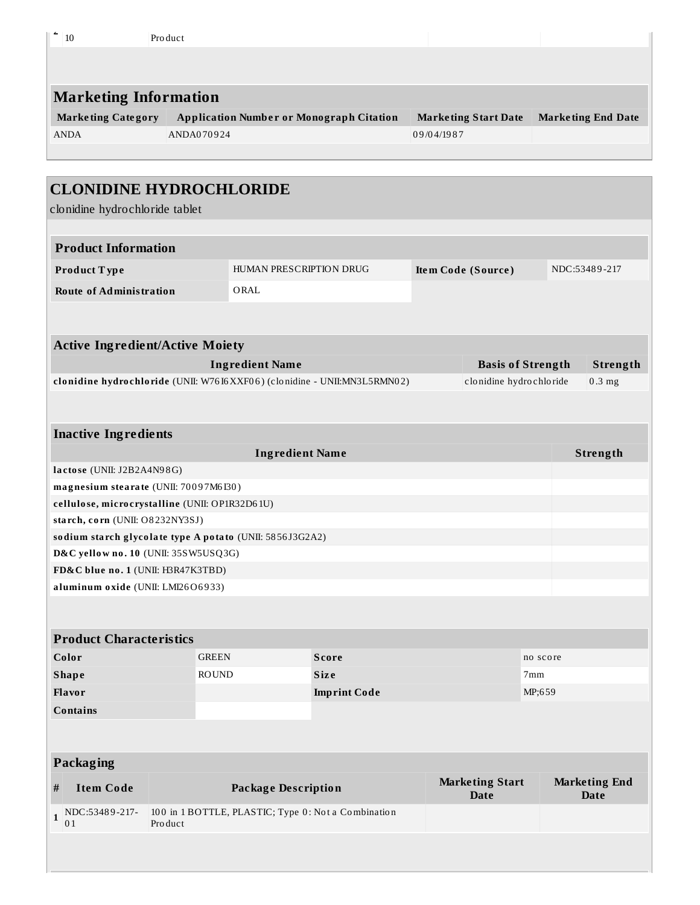| 10                                                                                    | Product      |                            |                                                                          |            |                             |          |                           |  |
|---------------------------------------------------------------------------------------|--------------|----------------------------|--------------------------------------------------------------------------|------------|-----------------------------|----------|---------------------------|--|
|                                                                                       |              |                            |                                                                          |            |                             |          |                           |  |
|                                                                                       |              |                            |                                                                          |            |                             |          |                           |  |
| <b>Marketing Information</b>                                                          |              |                            |                                                                          |            |                             |          |                           |  |
| <b>Marketing Category</b>                                                             |              |                            | <b>Application Number or Monograph Citation</b>                          |            | <b>Marketing Start Date</b> |          | <b>Marketing End Date</b> |  |
| <b>ANDA</b>                                                                           | ANDA070924   |                            |                                                                          | 09/04/1987 |                             |          |                           |  |
|                                                                                       |              |                            |                                                                          |            |                             |          |                           |  |
|                                                                                       |              |                            |                                                                          |            |                             |          |                           |  |
| <b>CLONIDINE HYDROCHLORIDE</b>                                                        |              |                            |                                                                          |            |                             |          |                           |  |
| clonidine hydrochloride tablet                                                        |              |                            |                                                                          |            |                             |          |                           |  |
|                                                                                       |              |                            |                                                                          |            |                             |          |                           |  |
| <b>Product Information</b>                                                            |              |                            |                                                                          |            |                             |          |                           |  |
| Product Type                                                                          |              | HUMAN PRESCRIPTION DRUG    |                                                                          |            | Item Code (Source)          |          | NDC:53489-217             |  |
| <b>Route of Administration</b>                                                        |              | ORAL                       |                                                                          |            |                             |          |                           |  |
|                                                                                       |              |                            |                                                                          |            |                             |          |                           |  |
|                                                                                       |              |                            |                                                                          |            |                             |          |                           |  |
| <b>Active Ingredient/Active Moiety</b>                                                |              |                            |                                                                          |            |                             |          |                           |  |
|                                                                                       |              | <b>Ingredient Name</b>     |                                                                          |            | <b>Basis of Strength</b>    |          | Strength                  |  |
|                                                                                       |              |                            | clonidine hydrochloride (UNII: W7616XXF06) (clonidine - UNII:MN3L5RMN02) |            | clonidine hydrochloride     |          | $0.3$ mg                  |  |
|                                                                                       |              |                            |                                                                          |            |                             |          |                           |  |
|                                                                                       |              |                            |                                                                          |            |                             |          |                           |  |
| <b>Inactive Ingredients</b>                                                           |              |                            |                                                                          |            |                             |          |                           |  |
| <b>Ingredient Name</b><br>Strength                                                    |              |                            |                                                                          |            |                             |          |                           |  |
| lactose (UNII: J2B2A4N98G)                                                            |              |                            |                                                                          |            |                             |          |                           |  |
| magnesium stearate (UNII: 70097M6I30)                                                 |              |                            |                                                                          |            |                             |          |                           |  |
| cellulose, microcrystalline (UNII: OP1R32D61U)<br>starch, corn (UNII: O8232NY3SJ)     |              |                            |                                                                          |            |                             |          |                           |  |
| sodium starch glycolate type A potato (UNII: 5856J3G2A2)                              |              |                            |                                                                          |            |                             |          |                           |  |
| D&C yellow no. 10 (UNII: 35SW5USQ3G)                                                  |              |                            |                                                                          |            |                             |          |                           |  |
| FD&C blue no. 1 (UNII: H3R47K3TBD)                                                    |              |                            |                                                                          |            |                             |          |                           |  |
| aluminum oxide (UNII: LMI26O6933)                                                     |              |                            |                                                                          |            |                             |          |                           |  |
|                                                                                       |              |                            |                                                                          |            |                             |          |                           |  |
|                                                                                       |              |                            |                                                                          |            |                             |          |                           |  |
| <b>Product Characteristics</b>                                                        |              |                            |                                                                          |            |                             |          |                           |  |
| Color                                                                                 | <b>GREEN</b> |                            | <b>Score</b>                                                             |            |                             | no score |                           |  |
| <b>Shape</b>                                                                          | <b>ROUND</b> |                            | <b>Size</b>                                                              | 7mm        |                             |          |                           |  |
| Flavor                                                                                |              |                            | <b>Imprint Code</b>                                                      |            |                             | MP;659   |                           |  |
| <b>Contains</b>                                                                       |              |                            |                                                                          |            |                             |          |                           |  |
|                                                                                       |              |                            |                                                                          |            |                             |          |                           |  |
| <b>Packaging</b>                                                                      |              |                            |                                                                          |            |                             |          |                           |  |
|                                                                                       |              |                            |                                                                          |            | <b>Marketing Start</b>      |          | <b>Marketing End</b>      |  |
| <b>Item Code</b><br>#                                                                 |              | <b>Package Description</b> |                                                                          |            | <b>Date</b>                 |          | <b>Date</b>               |  |
| 100 in 1 BOTTLE, PLASTIC; Type 0: Not a Combination<br>NDC:53489-217-<br>$\mathbf{1}$ |              |                            |                                                                          |            |                             |          |                           |  |
| 01                                                                                    | Product      |                            |                                                                          |            |                             |          |                           |  |
|                                                                                       |              |                            |                                                                          |            |                             |          |                           |  |
|                                                                                       |              |                            |                                                                          |            |                             |          |                           |  |